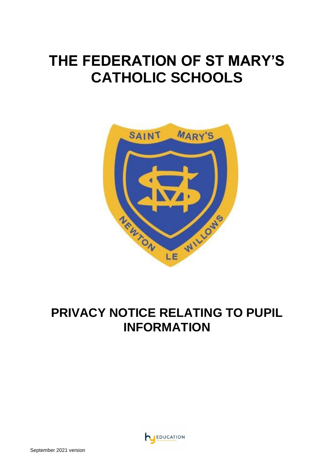# **THE FEDERATION OF ST MARY'S CATHOLIC SCHOOLS**



# **PRIVACY NOTICE RELATING TO PUPIL INFORMATION**

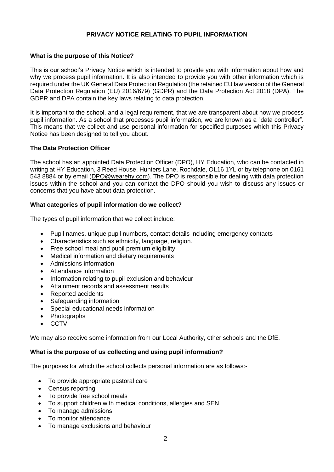# **PRIVACY NOTICE RELATING TO PUPIL INFORMATION**

#### **What is the purpose of this Notice?**

This is our school's Privacy Notice which is intended to provide you with information about how and why we process pupil information. It is also intended to provide you with other information which is required under the UK General Data Protection Regulation (the retained EU law version of the General Data Protection Regulation (EU) 2016/679) (GDPR) and the Data Protection Act 2018 (DPA). The GDPR and DPA contain the key laws relating to data protection.

It is important to the school, and a legal requirement, that we are transparent about how we process pupil information. As a school that processes pupil information, we are known as a "data controller". This means that we collect and use personal information for specified purposes which this Privacy Notice has been designed to tell you about.

#### **The Data Protection Officer**

The school has an appointed Data Protection Officer (DPO), HY Education, who can be contacted in writing at HY Education, 3 Reed House, Hunters Lane, Rochdale, OL16 1YL or by telephone on 0161 543 8884 or by email [\(DPO@wearehy.com\)](mailto:DPO@wearehy.com). The DPO is responsible for dealing with data protection issues within the school and you can contact the DPO should you wish to discuss any issues or concerns that you have about data protection.

#### **What categories of pupil information do we collect?**

The types of pupil information that we collect include:

- Pupil names, unique pupil numbers, contact details including emergency contacts
- Characteristics such as ethnicity, language, religion.
- Free school meal and pupil premium eligibility
- Medical information and dietary requirements
- Admissions information
- Attendance information
- Information relating to pupil exclusion and behaviour
- Attainment records and assessment results
- Reported accidents
- Safeguarding information
- Special educational needs information
- **Photographs**
- CCTV

We may also receive some information from our Local Authority, other schools and the DfE.

#### **What is the purpose of us collecting and using pupil information?**

The purposes for which the school collects personal information are as follows:-

- To provide appropriate pastoral care
- Census reporting
- To provide free school meals
- To support children with medical conditions, allergies and SEN
- To manage admissions
- To monitor attendance
- To manage exclusions and behaviour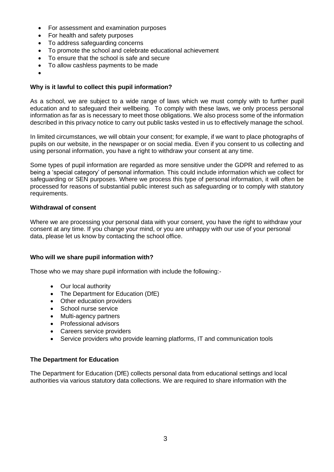- For assessment and examination purposes
- For health and safety purposes
- To address safeguarding concerns
- To promote the school and celebrate educational achievement
- To ensure that the school is safe and secure
- To allow cashless payments to be made
- •

# **Why is it lawful to collect this pupil information?**

As a school, we are subject to a wide range of laws which we must comply with to further pupil education and to safeguard their wellbeing. To comply with these laws, we only process personal information as far as is necessary to meet those obligations. We also process some of the information described in this privacy notice to carry out public tasks vested in us to effectively manage the school.

In limited circumstances, we will obtain your consent; for example, if we want to place photographs of pupils on our website, in the newspaper or on social media. Even if you consent to us collecting and using personal information, you have a right to withdraw your consent at any time.

Some types of pupil information are regarded as more sensitive under the GDPR and referred to as being a 'special category' of personal information. This could include information which we collect for safeguarding or SEN purposes. Where we process this type of personal information, it will often be processed for reasons of substantial public interest such as safeguarding or to comply with statutory requirements.

# **Withdrawal of consent**

Where we are processing your personal data with your consent, you have the right to withdraw your consent at any time. If you change your mind, or you are unhappy with our use of your personal data, please let us know by contacting the school office.

#### **Who will we share pupil information with?**

Those who we may share pupil information with include the following:-

- Our local authority
- The Department for Education (DfE)
- Other education providers
- School nurse service
- Multi-agency partners
- Professional advisors
- Careers service providers
- Service providers who provide learning platforms, IT and communication tools

#### **The Department for Education**

The Department for Education (DfE) collects personal data from educational settings and local authorities via various statutory data collections. We are required to share information with the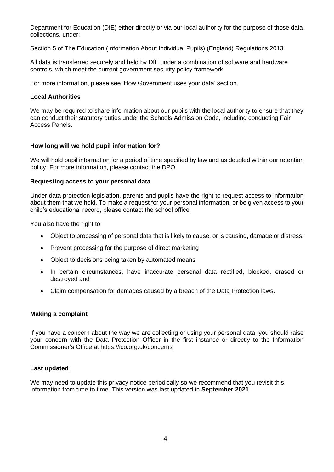Department for Education (DfE) either directly or via our local authority for the purpose of those data collections, under:

Section 5 of The Education (Information About Individual Pupils) (England) Regulations 2013.

All data is transferred securely and held by DfE under a combination of software and hardware controls, which meet the current government security policy framework.

For more information, please see 'How Government uses your data' section.

#### **Local Authorities**

We may be required to share information about our pupils with the local authority to ensure that they can conduct their statutory duties under the Schools Admission Code, including conducting Fair Access Panels.

#### **How long will we hold pupil information for?**

We will hold pupil information for a period of time specified by law and as detailed within our retention policy. For more information, please contact the DPO.

#### **Requesting access to your personal data**

Under data protection legislation, parents and pupils have the right to request access to information about them that we hold. To make a request for your personal information, or be given access to your child's educational record, please contact the school office.

You also have the right to:

- Object to processing of personal data that is likely to cause, or is causing, damage or distress;
- Prevent processing for the purpose of direct marketing
- Object to decisions being taken by automated means
- In certain circumstances, have inaccurate personal data rectified, blocked, erased or destroyed and
- Claim compensation for damages caused by a breach of the Data Protection laws.

#### **Making a complaint**

If you have a concern about the way we are collecting or using your personal data, you should raise your concern with the Data Protection Officer in the first instance or directly to the Information Commissioner's Office at<https://ico.org.uk/concerns>

#### **Last updated**

We may need to update this privacy notice periodically so we recommend that you revisit this information from time to time. This version was last updated in **September 2021.**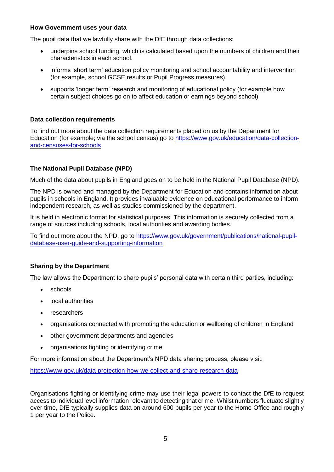#### **How Government uses your data**

The pupil data that we lawfully share with the DfE through data collections:

- underpins school funding, which is calculated based upon the numbers of children and their characteristics in each school.
- informs 'short term' education policy monitoring and school accountability and intervention (for example, school GCSE results or Pupil Progress measures).
- supports 'longer term' research and monitoring of educational policy (for example how certain subject choices go on to affect education or earnings beyond school)

#### **Data collection requirements**

To find out more about the data collection requirements placed on us by the Department for Education (for example; via the school census) go to [https://www.gov.uk/education/data-collection](https://www.gov.uk/education/data-collection-and-censuses-for-schools)[and-censuses-for-schools](https://www.gov.uk/education/data-collection-and-censuses-for-schools)

#### **The National Pupil Database (NPD)**

Much of the data about pupils in England goes on to be held in the National Pupil Database (NPD).

The NPD is owned and managed by the Department for Education and contains information about pupils in schools in England. It provides invaluable evidence on educational performance to inform independent research, as well as studies commissioned by the department.

It is held in electronic format for statistical purposes. This information is securely collected from a range of sources including schools, local authorities and awarding bodies.

To find out more about the NPD, go to [https://www.gov.uk/government/publications/national-pupil](https://www.gov.uk/government/publications/national-pupil-database-user-guide-and-supporting-information)[database-user-guide-and-supporting-information](https://www.gov.uk/government/publications/national-pupil-database-user-guide-and-supporting-information)

#### **Sharing by the Department**

The law allows the Department to share pupils' personal data with certain third parties, including:

- schools
- local authorities
- researchers
- organisations connected with promoting the education or wellbeing of children in England
- other government departments and agencies
- organisations fighting or identifying crime

For more information about the Department's NPD data sharing process, please visit:

<https://www.gov.uk/data-protection-how-we-collect-and-share-research-data>

Organisations fighting or identifying crime may use their legal powers to contact the DfE to request access to individual level information relevant to detecting that crime. Whilst numbers fluctuate slightly over time, DfE typically supplies data on around 600 pupils per year to the Home Office and roughly 1 per year to the Police.